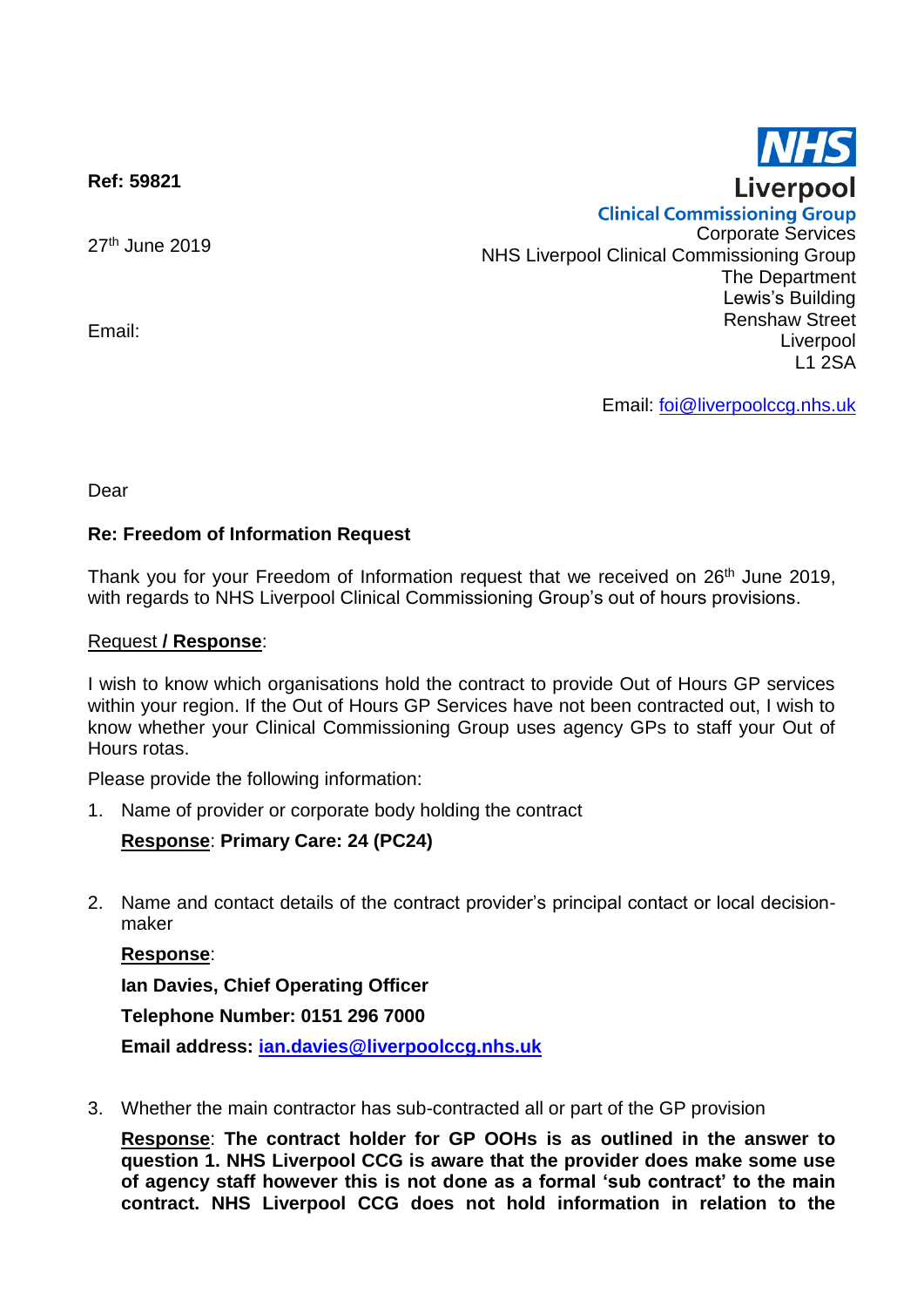**Ref: 59821**

27<sup>th</sup> June 2019

Email:

**Clinical Commissioning Group** Corporate Services NHS Liverpool Clinical Commissioning Group The Department Lewis's Building Renshaw Street Liverpool L1 2SA

Email: [foi@liverpoolccg.nhs.uk](mailto:foi@liverpoolccg.nhs.uk)

Dear

# **Re: Freedom of Information Request**

Thank you for your Freedom of Information request that we received on 26<sup>th</sup> June 2019, with regards to NHS Liverpool Clinical Commissioning Group's out of hours provisions.

### Request **/ Response**:

I wish to know which organisations hold the contract to provide Out of Hours GP services within your region. If the Out of Hours GP Services have not been contracted out, I wish to know whether your Clinical Commissioning Group uses agency GPs to staff your Out of Hours rotas.

Please provide the following information:

1. Name of provider or corporate body holding the contract

# **Response**: **Primary Care: 24 (PC24)**

2. Name and contact details of the contract provider's principal contact or local decisionmaker

### **Response**:

**Ian Davies, Chief Operating Officer**

**Telephone Number: 0151 296 7000** 

**Email address: [ian.davies@liverpoolccg.nhs.uk](mailto:ian.davies@liverpoolccg.nhs.uk)**

3. Whether the main contractor has sub-contracted all or part of the GP provision

**Response**: **The contract holder for GP OOHs is as outlined in the answer to question 1. NHS Liverpool CCG is aware that the provider does make some use of agency staff however this is not done as a formal 'sub contract' to the main contract. NHS Liverpool CCG does not hold information in relation to the**